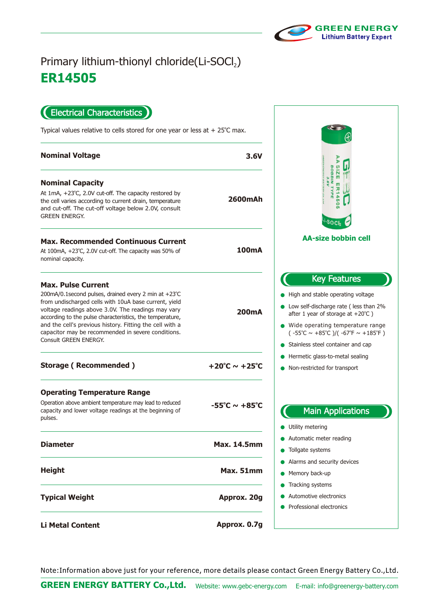

## **ER14505** Primary lithium-thionyl chloride(Li-SOCl2)

Electrical Characteristics

Typical values relative to cells stored for one year or less at  $+25^{\circ}$ C max.

| <b>Nominal Voltage</b>                                                                                                                                                                                                                                                                                                                                                                                  | 3.6V                               |
|---------------------------------------------------------------------------------------------------------------------------------------------------------------------------------------------------------------------------------------------------------------------------------------------------------------------------------------------------------------------------------------------------------|------------------------------------|
| <b>Nominal Capacity</b><br>At $1mA$ , $+23^{\circ}C$ , 2.0V cut-off. The capacity restored by<br>the cell varies according to current drain, temperature<br>and cut-off. The cut-off voltage below 2.0V, consult<br><b>GREEN ENERGY.</b>                                                                                                                                                                | <b>2600mAh</b>                     |
| <b>Max. Recommended Continuous Current</b><br>At 100mA, +23°C, 2.0V cut-off. The capacity was 50% of<br>nominal capacity.                                                                                                                                                                                                                                                                               | 100mA                              |
| <b>Max. Pulse Current</b><br>200mA/0.1second pulses, drained every 2 min at +23°C<br>from undischarged cells with 10uA base current, yield<br>voltage readings above 3.0V. The readings may vary<br>according to the pulse characteristics, the temperature,<br>and the cell's previous history. Fitting the cell with a<br>capacitor may be recommended in severe conditions.<br>Consult GREEN ENERGY. | 200mA                              |
| <b>Storage (Recommended)</b>                                                                                                                                                                                                                                                                                                                                                                            | +20°C $\sim$ +25°C                 |
| <b>Operating Temperature Range</b><br>Operation above ambient temperature may lead to reduced<br>capacity and lower voltage readings at the beginning of<br>pulses.                                                                                                                                                                                                                                     | $-55^{\circ}$ C ~ +85 $^{\circ}$ C |
| <b>Diameter</b>                                                                                                                                                                                                                                                                                                                                                                                         | <b>Max. 14.5mm</b>                 |
| <b>Height</b>                                                                                                                                                                                                                                                                                                                                                                                           | <b>Max. 51mm</b>                   |
| <b>Typical Weight</b>                                                                                                                                                                                                                                                                                                                                                                                   | Approx. 20g                        |
| <b>Li Metal Content</b>                                                                                                                                                                                                                                                                                                                                                                                 | Approx. 0.7g                       |

AASIZE ER14506<br>BOBBIN TYPE<br>3.6V **SOCI AA-size bobbin cell** Key Features igh and stable operating voltage Low self-discharge rate ( less than 2% ter 1 year of storage at  $+20^{\circ}$ C ) Ide operating temperature range  $-55^{\circ}$ C ~  $+85^{\circ}$ C )/(  $-67^{\circ}$ F ~  $+185^{\circ}$ F ) ainless steel container and cap ermetic glass-to-metal sealing on-restricted for transport Main Applications tility metering utomatic meter reading ollgate systems arms and security devices emory back-up acking systems utomotive electronics ofessional electronics

Note:Information above just for your reference, more details please contact Green Energy Battery Co.,Ltd.